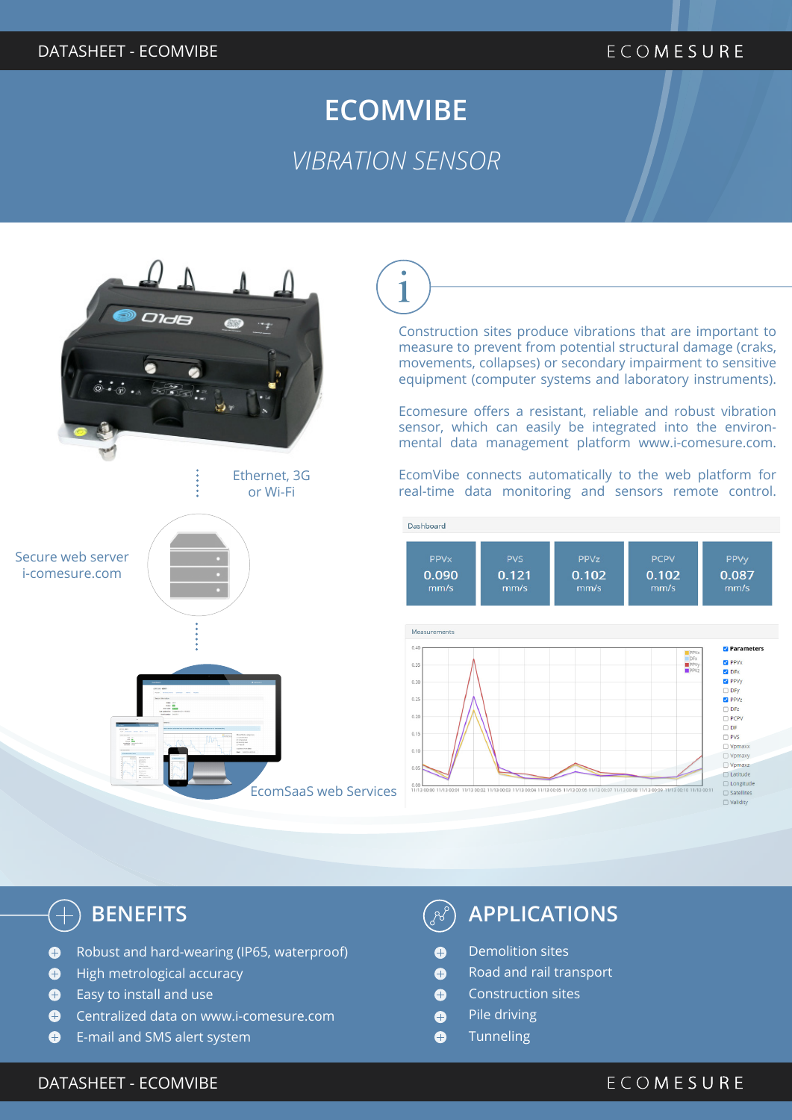#### DATASHEET - ECOMVIBE

#### ECOMESURE

## **ECOMVIBE** *VIBRATION SENSOR*



 $\overline{\mathbf{1}}$ 

Construction sites produce vibrations that are important to measure to prevent from potential structural damage (craks, movements, collapses) or secondary impairment to sensitive equipment (computer systems and laboratory instruments).

Ecomesure offers a resistant, reliable and robust vibration sensor, which can easily be integrated into the environmental data management platform www.i-comesure.com.

EcomVibe connects automatically to the web platform for real-time data monitoring and sensors remote control.



 $\left( \begin{smallmatrix} -1 \ 1 \end{smallmatrix} \right)$ 

- Robust and hard-wearing (IP65, waterproof)  $\bullet$
- $\bullet$ High metrological accuracy
- Easy to install and use  $\bullet$
- $\bullet$ Centralized data on www.i-comesure.com
- $\bullet$ E-mail and SMS alert system

### **BENEFITS APPLICATIONS**

- Demolition sites  $\bullet$
- Road and rail transport  $\bullet$
- Construction sites  $\bullet$
- $\bullet$ Pile driving
- $\bullet$ **Tunneling**

#### DATASHEET - ECOMVIBE

#### ECOMESURE